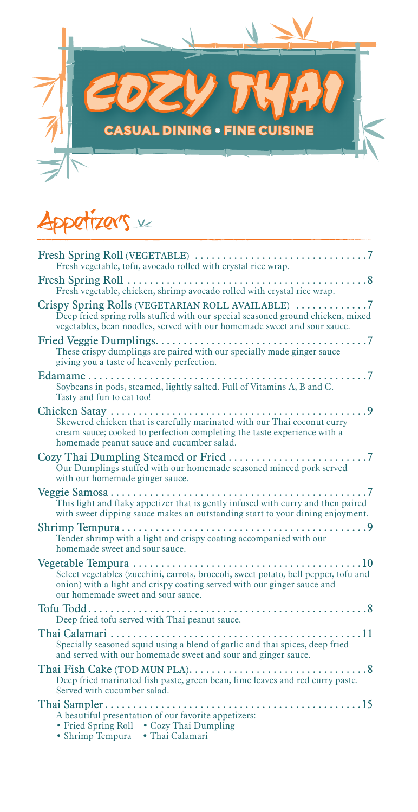

Appetizers ve

| Fresh vegetable, tofu, avocado rolled with crystal rice wrap.                                                                                                                                                    |
|------------------------------------------------------------------------------------------------------------------------------------------------------------------------------------------------------------------|
| Fresh vegetable, chicken, shrimp avocado rolled with crystal rice wrap.                                                                                                                                          |
| Crispy Spring Rolls (VEGETARIAN ROLL AVAILABLE) 7<br>Deep fried spring rolls stuffed with our special seasoned ground chicken, mixed<br>vegetables, bean noodles, served with our homemade sweet and sour sauce. |
| These crispy dumplings are paired with our specially made ginger sauce<br>giving you a taste of heavenly perfection.                                                                                             |
| Soybeans in pods, steamed, lightly salted. Full of Vitamins A, B and C.<br>Tasty and fun to eat too!                                                                                                             |
| Skewered chicken that is carefully marinated with our Thai coconut curry<br>cream sauce; cooked to perfection completing the taste experience with a<br>homemade peanut sauce and cucumber salad.                |
| Our Dumplings stuffed with our homemade seasoned minced pork served<br>with our homemade ginger sauce.                                                                                                           |
| This light and flaky appetizer that is gently infused with curry and then paired<br>with sweet dipping sauce makes an outstanding start to your dining enjoyment.                                                |
| Tender shrimp with a light and crispy coating accompanied with our<br>homemade sweet and sour sauce.                                                                                                             |
| Select vegetables (zucchini, carrots, broccoli, sweet potato, bell pepper, tofu and<br>onion) with a light and crispy coating served with our ginger sauce and<br>our homemade sweet and sour sauce.             |
| Deep fried tofu served with Thai peanut sauce.                                                                                                                                                                   |
| Specially seasoned squid using a blend of garlic and thai spices, deep fried<br>and served with our homemade sweet and sour and ginger sauce.                                                                    |
| Deep fried marinated fish paste, green bean, lime leaves and red curry paste.<br>Served with cucumber salad.                                                                                                     |
| A beautiful presentation of our favorite appetizers:<br>• Fried Spring Roll • Cozy Thai Dumpling<br>• Shrimp Tempura • Thai Calamari                                                                             |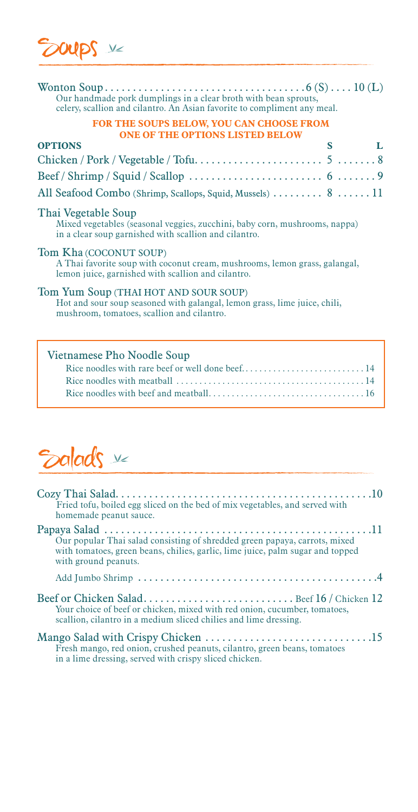Soups ve

| Our handmade pork dumplings in a clear broth with bean sprouts,<br>celery, scallion and cilantro. An Asian favorite to compliment any meal.                      |   |   |
|------------------------------------------------------------------------------------------------------------------------------------------------------------------|---|---|
| FOR THE SOUPS BELOW, YOU CAN CHOOSE FROM                                                                                                                         |   |   |
| <b>ONE OF THE OPTIONS LISTED BELOW</b><br><b>OPTIONS</b>                                                                                                         | S | L |
|                                                                                                                                                                  |   |   |
|                                                                                                                                                                  |   |   |
| All Seafood Combo (Shrimp, Scallops, Squid, Mussels)  8  11                                                                                                      |   |   |
| Thai Vegetable Soup<br>Mixed vegetables (seasonal veggies, zucchini, baby corn, mushrooms, nappa)<br>in a clear soup garnished with scallion and cilantro.       |   |   |
| Tom Kha (COCONUT SOUP)<br>A Thai favorite soup with coconut cream, mushrooms, lemon grass, galangal,<br>lemon juice, garnished with scallion and cilantro.       |   |   |
| Tom Yum Soup (THAI HOT AND SOUR SOUP)<br>Hot and sour soup seasoned with galangal, lemon grass, lime juice, chili,<br>mushroom, tomatoes, scallion and cilantro. |   |   |
| Vietnamese Pho Noodle Soup<br>$\mathbf{H}$ and $\mathbf{H}$ and $\mathbf{H}$ and $\mathbf{H}$ and $\mathbf{H}$ and $\mathbf{H}$ and $\mathbf{H}$                 |   |   |

 $\overline{a}$ 

| Fried tofu, boiled egg sliced on the bed of mix vegetables, and served with<br>homemade peanut sauce.                                                                                |
|--------------------------------------------------------------------------------------------------------------------------------------------------------------------------------------|
| Our popular Thai salad consisting of shredded green papaya, carrots, mixed<br>with tomatoes, green beans, chilies, garlic, lime juice, palm sugar and topped<br>with ground peanuts. |
|                                                                                                                                                                                      |
| Your choice of beef or chicken, mixed with red onion, cucumber, tomatoes,<br>scallion, cilantro in a medium sliced chilies and lime dressing.                                        |
| Fresh mango, red onion, crushed peanuts, cilantro, green beans, tomatoes<br>in a lime dressing, served with crispy sliced chicken.                                                   |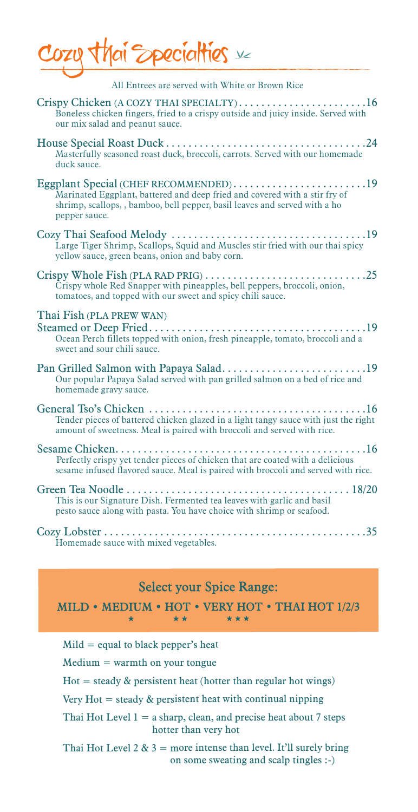Cozy thai Specialties

All Entrees are served with White or Brown Rice

| Crispy Chicken (A COZY THAI SPECIALTY)16<br>Boneless chicken fingers, fried to a crispy outside and juicy inside. Served with<br>our mix salad and peanut sauce.                                                   |
|--------------------------------------------------------------------------------------------------------------------------------------------------------------------------------------------------------------------|
| Masterfully seasoned roast duck, broccoli, carrots. Served with our homemade<br>duck sauce.                                                                                                                        |
| Eggplant Special (CHEF RECOMMENDED)19<br>Marinated Eggplant, battered and deep fried and covered with a stir fry of<br>shrimp, scallops, , bamboo, bell pepper, basil leaves and served with a ho<br>pepper sauce. |
| Large Tiger Shrimp, Scallops, Squid and Muscles stir fried with our thai spicy<br>yellow sauce, green beans, onion and baby corn.                                                                                  |
| Crispy whole Red Snapper with pineapples, bell peppers, broccoli, onion,<br>tomatoes, and topped with our sweet and spicy chili sauce.                                                                             |
| Thai Fish (PLA PREW WAN)<br>Ocean Perch fillets topped with onion, fresh pineapple, tomato, broccoli and a<br>sweet and sour chili sauce.                                                                          |
| Our popular Papaya Salad served with pan grilled salmon on a bed of rice and<br>homemade gravy sauce.                                                                                                              |
| Tender pieces of battered chicken glazed in a light tangy sauce with just the right<br>amount of sweetness. Meal is paired with broccoli and served with rice.                                                     |
| Perfectly crispy yet tender pieces of chicken that are coated with a delicious<br>sesame infused flavored sauce. Meal is paired with broccoli and served with rice.                                                |
| This is our Signature Dish. Fermented tea leaves with garlic and basil<br>pesto sauce along with pasta. You have choice with shrimp or seafood.                                                                    |
| Homemade sauce with mixed vegetables.                                                                                                                                                                              |

Select your Spice Range:

MILD • MEDIUM • HOT • VERY HOT • THAI HOT 1/2/3 \* \* \* \* \* \*

| $Mild = equal to black pepper's heat$ |                                                                                                              |
|---------------------------------------|--------------------------------------------------------------------------------------------------------------|
| $Median = warmth on your tongue$      |                                                                                                              |
|                                       | $Hot = steady & persistent heat (hotter than regular hot wings)$                                             |
|                                       | Very $Hot = steady & persistent heat with conditional nipping$                                               |
|                                       | Thai Hot Level $1 = a$ sharp, clean, and precise heat about 7 steps<br>hotter than very hot                  |
|                                       | Thai Hot Level 2 & 3 = more intense than level. It'll surely bring<br>on some sweating and scalp tingles :-) |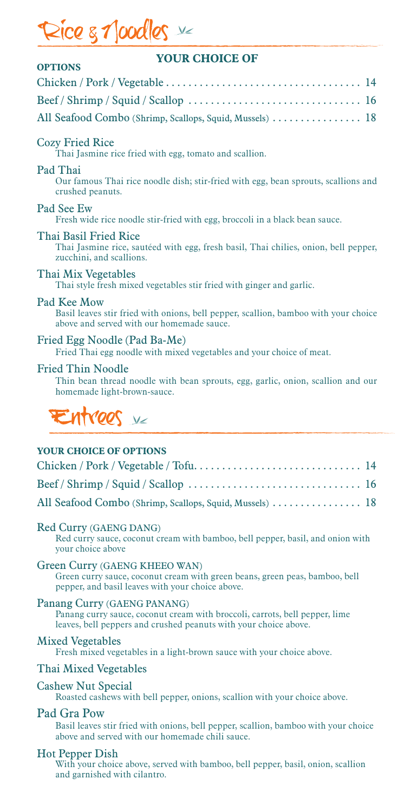Rice  $s$  1 loodles

#### **YOUR CHOICE OF**

| <u>UUN UHULUL UH</u><br><b>OPTIONS</b>                                                                                                          |  |
|-------------------------------------------------------------------------------------------------------------------------------------------------|--|
|                                                                                                                                                 |  |
|                                                                                                                                                 |  |
| All Seafood Combo (Shrimp, Scallops, Squid, Mussels)  18                                                                                        |  |
| <b>Cozy Fried Rice</b><br>Thai Jasmine rice fried with egg, tomato and scallion.                                                                |  |
| Pad Thai<br>Our famous Thai rice noodle dish; stir-fried with egg, bean sprouts, scallions and<br>crushed peanuts.                              |  |
| Pad See Ew<br>Fresh wide rice noodle stir-fried with egg, broccoli in a black bean sauce.                                                       |  |
| Thai Basil Fried Rice<br>Thai Jasmine rice, sautéed with egg, fresh basil, Thai chilies, onion, bell pepper,<br>zucchini, and scallions.        |  |
| Thai Mix Vegetables<br>Thai style fresh mixed vegetables stir fried with ginger and garlic.                                                     |  |
| Pad Kee Mow<br>Basil leaves stir fried with onions, bell pepper, scallion, bamboo with your choice<br>above and served with our homemade sauce. |  |
| Fried Egg Noodle (Pad Ba-Me)<br>Fried Thai egg noodle with mixed vegetables and your choice of meat.                                            |  |
| <b>Fried Thin Noodle</b><br>Thin bean thread noodle with bean sprouts, egg, garlic, onion, scallion and our<br>homemade light-brown-sauce.      |  |
| Entrees v                                                                                                                                       |  |
| <b>YOUR CHOICE OF OPTIONS</b>                                                                                                                   |  |
|                                                                                                                                                 |  |
|                                                                                                                                                 |  |
| All Seafood Combo (Shrimp, Scallops, Squid, Mussels)  18                                                                                        |  |

#### Red Curry (GAENG DANG)

Red curry sauce, coconut cream with bamboo, bell pepper, basil, and onion with your choice above

#### Green Curry (GAENG KHEEO WAN)

Green curry sauce, coconut cream with green beans, green peas, bamboo, bell pepper, and basil leaves with your choice above.

#### Panang Curry (GAENG PANANG)

Panang curry sauce, coconut cream with broccoli, carrots, bell pepper, lime leaves, bell peppers and crushed peanuts with your choice above.

Mixed Vegetables Fresh mixed vegetables in a light-brown sauce with your choice above.

#### Thai Mixed Vegetables

#### Cashew Nut Special

Roasted cashews with bell pepper, onions, scallion with your choice above.

#### Pad Gra Pow

Basil leaves stir fried with onions, bell pepper, scallion, bamboo with your choice above and served with our homemade chili sauce.

#### Hot Pepper Dish

With your choice above, served with bamboo, bell pepper, basil, onion, scallion and garnished with cilantro.